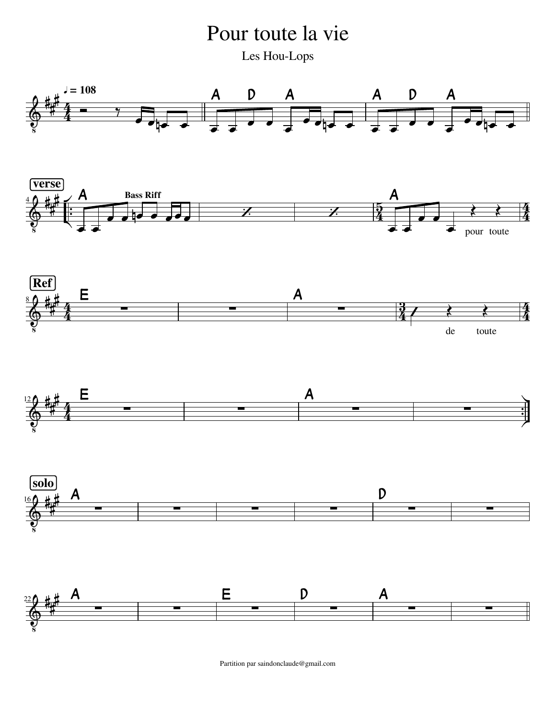Pour toute la vie Les Hou-Lops



Partition par saindonclaude@gmail.com